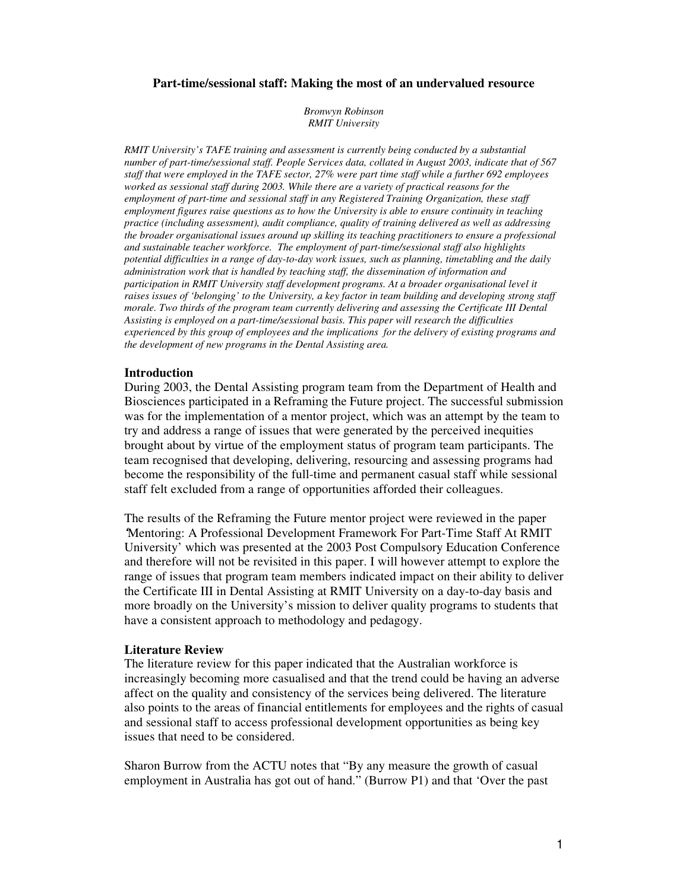### **Part-time/sessional staff: Making the most of an undervalued resource**

*Bronwyn Robinson RMIT University*

*RMIT University's TAFE training and assessment is currently being conducted by a substantial number of part-time/sessional staff. People Services data, collated in August 2003, indicate that of 567* staff that were employed in the TAFE sector, 27% were part time staff while a further 692 employees *worked as sessional staff during 2003. While there are a variety of practical reasons for the employment of part-time and sessional staff in any Registered Training Organization, these staff employment figures raise questions as to how the University is able to ensure continuity in teaching practice (including assessment), audit compliance, quality of training delivered as well as addressing the broader organisational issues around up skilling its teaching practitioners to ensure a professional and sustainable teacher workforce. The employment of part-time/sessional staff also highlights potential difficulties in a range of day-to-day work issues, such as planning, timetabling and the daily administration work that is handled by teaching staff, the dissemination of information and participation in RMIT University staff development programs. At a broader organisational level it raises issues of 'belonging' to the University, a key factor in team building and developing strong staff morale. Two thirds of the program team currently delivering and assessing the Certificate III Dental Assisting is employed on a part-time/sessional basis. This paper will research the difficulties experienced by this group of employees and the implications for the delivery of existing programs and the development of new programs in the Dental Assisting area.*

#### **Introduction**

During 2003, the Dental Assisting program team from the Department of Health and Biosciences participated in a Reframing the Future project. The successful submission was for the implementation of a mentor project, which was an attempt by the team to try and address a range of issues that were generated by the perceived inequities brought about by virtue of the employment status of program team participants. The team recognised that developing, delivering, resourcing and assessing programs had become the responsibility of the full-time and permanent casual staff while sessional staff felt excluded from a range of opportunities afforded their colleagues.

The results of the Reframing the Future mentor project were reviewed in the paper *'*Mentoring: A Professional Development Framework For Part-Time Staff At RMIT University' which was presented at the 2003 Post Compulsory Education Conference and therefore will not be revisited in this paper. I will however attempt to explore the range of issues that program team members indicated impact on their ability to deliver the Certificate III in Dental Assisting at RMIT University on a day-to-day basis and more broadly on the University's mission to deliver quality programs to students that have a consistent approach to methodology and pedagogy.

#### **Literature Review**

The literature review for this paper indicated that the Australian workforce is increasingly becoming more casualised and that the trend could be having an adverse affect on the quality and consistency of the services being delivered. The literature also points to the areas of financial entitlements for employees and the rights of casual and sessional staff to access professional development opportunities as being key issues that need to be considered.

Sharon Burrow from the ACTU notes that "By any measure the growth of casual employment in Australia has got out of hand." (Burrow P1) and that 'Over the past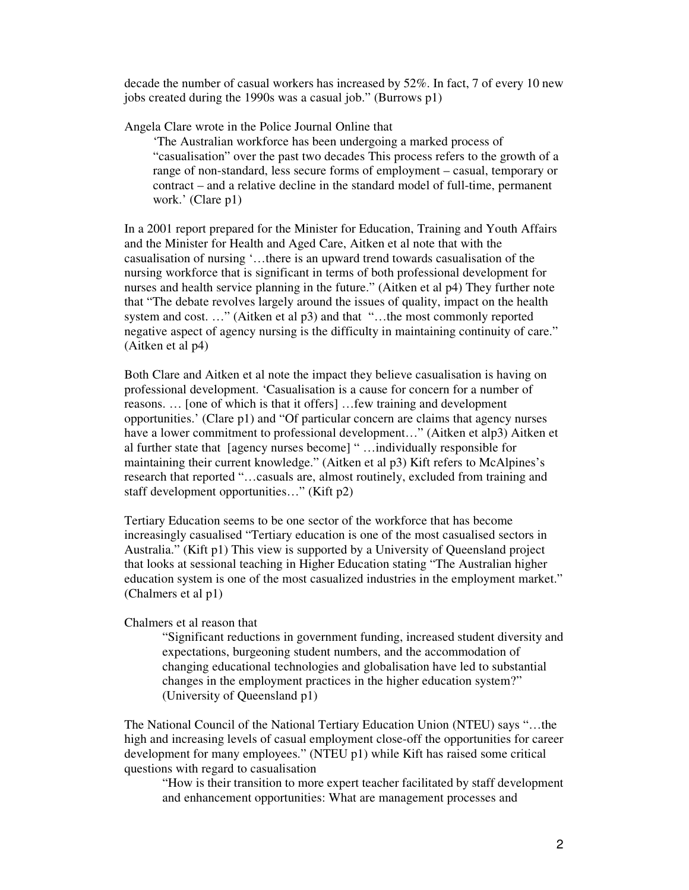decade the number of casual workers has increased by 52%. In fact, 7 of every 10 new jobs created during the 1990s was a casual job." (Burrows p1)

Angela Clare wrote in the Police Journal Online that

'The Australian workforce has been undergoing a marked process of "casualisation" over the past two decades This process refers to the growth of a range of non-standard, less secure forms of employment – casual, temporary or contract – and a relative decline in the standard model of full-time, permanent work.' (Clare p1)

In a 2001 report prepared for the Minister for Education, Training and Youth Affairs and the Minister for Health and Aged Care, Aitken et al note that with the casualisation of nursing '…there is an upward trend towards casualisation of the nursing workforce that is significant in terms of both professional development for nurses and health service planning in the future." (Aitken et al p4) They further note that "The debate revolves largely around the issues of quality, impact on the health system and cost. ..." (Aitken et al p3) and that "...the most commonly reported negative aspect of agency nursing is the difficulty in maintaining continuity of care." (Aitken et al p4)

Both Clare and Aitken et al note the impact they believe casualisation is having on professional development. 'Casualisation is a cause for concern for a number of reasons. … [one of which is that it offers] …few training and development opportunities.' (Clare p1) and "Of particular concern are claims that agency nurses have a lower commitment to professional development…" (Aitken et alp3) Aitken et al further state that [agency nurses become] " …individually responsible for maintaining their current knowledge." (Aitken et al p3) Kift refers to McAlpines's research that reported "…casuals are, almost routinely, excluded from training and staff development opportunities…" (Kift p2)

Tertiary Education seems to be one sector of the workforce that has become increasingly casualised "Tertiary education is one of the most casualised sectors in Australia." (Kift p1) This view is supported by a University of Queensland project that looks at sessional teaching in Higher Education stating "The Australian higher education system is one of the most casualized industries in the employment market." (Chalmers et al p1)

## Chalmers et al reason that

"Significant reductions in government funding, increased student diversity and expectations, burgeoning student numbers, and the accommodation of changing educational technologies and globalisation have led to substantial changes in the employment practices in the higher education system?" (University of Queensland p1)

The National Council of the National Tertiary Education Union (NTEU) says "…the high and increasing levels of casual employment close-off the opportunities for career development for many employees." (NTEU p1) while Kift has raised some critical questions with regard to casualisation

"How is their transition to more expert teacher facilitated by staff development and enhancement opportunities: What are management processes and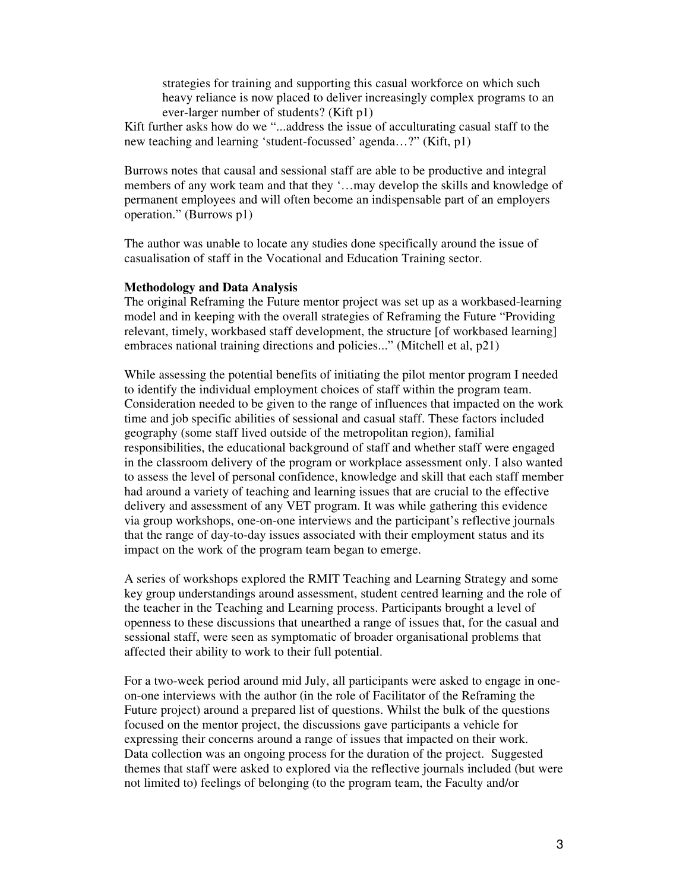strategies for training and supporting this casual workforce on which such heavy reliance is now placed to deliver increasingly complex programs to an ever-larger number of students? (Kift p1)

Kift further asks how do we "...address the issue of acculturating casual staff to the new teaching and learning 'student-focussed' agenda…?" (Kift, p1)

Burrows notes that causal and sessional staff are able to be productive and integral members of any work team and that they '…may develop the skills and knowledge of permanent employees and will often become an indispensable part of an employers operation." (Burrows p1)

The author was unable to locate any studies done specifically around the issue of casualisation of staff in the Vocational and Education Training sector.

#### **Methodology and Data Analysis**

The original Reframing the Future mentor project was set up as a workbased-learning model and in keeping with the overall strategies of Reframing the Future "Providing relevant, timely, workbased staff development, the structure [of workbased learning] embraces national training directions and policies..." (Mitchell et al, p21)

While assessing the potential benefits of initiating the pilot mentor program I needed to identify the individual employment choices of staff within the program team. Consideration needed to be given to the range of influences that impacted on the work time and job specific abilities of sessional and casual staff. These factors included geography (some staff lived outside of the metropolitan region), familial responsibilities, the educational background of staff and whether staff were engaged in the classroom delivery of the program or workplace assessment only. I also wanted to assess the level of personal confidence, knowledge and skill that each staff member had around a variety of teaching and learning issues that are crucial to the effective delivery and assessment of any VET program. It was while gathering this evidence via group workshops, one-on-one interviews and the participant's reflective journals that the range of day-to-day issues associated with their employment status and its impact on the work of the program team began to emerge.

A series of workshops explored the RMIT Teaching and Learning Strategy and some key group understandings around assessment, student centred learning and the role of the teacher in the Teaching and Learning process. Participants brought a level of openness to these discussions that unearthed a range of issues that, for the casual and sessional staff, were seen as symptomatic of broader organisational problems that affected their ability to work to their full potential.

For a two-week period around mid July, all participants were asked to engage in oneon-one interviews with the author (in the role of Facilitator of the Reframing the Future project) around a prepared list of questions. Whilst the bulk of the questions focused on the mentor project, the discussions gave participants a vehicle for expressing their concerns around a range of issues that impacted on their work. Data collection was an ongoing process for the duration of the project. Suggested themes that staff were asked to explored via the reflective journals included (but were not limited to) feelings of belonging (to the program team, the Faculty and/or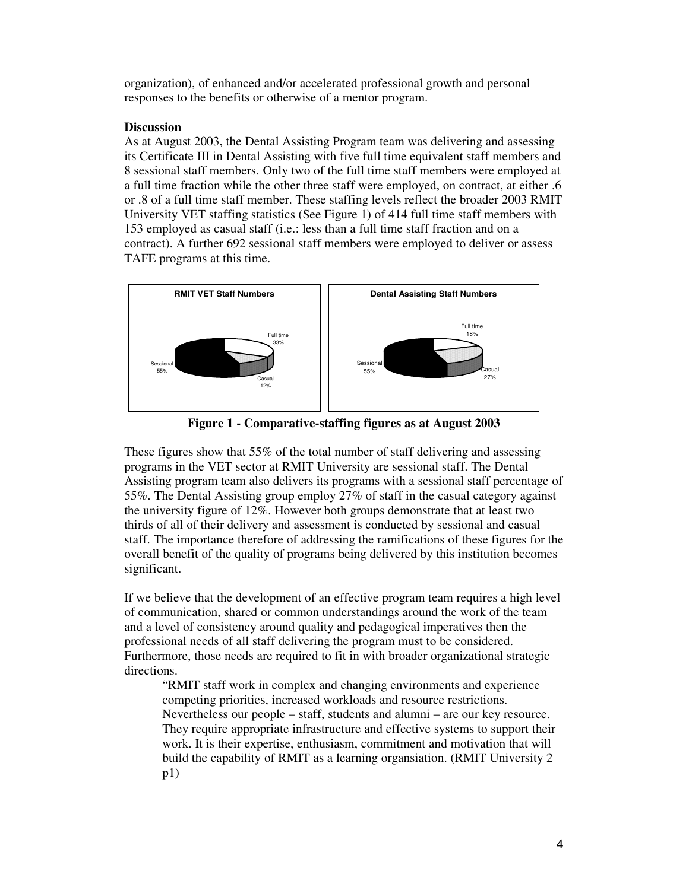organization), of enhanced and/or accelerated professional growth and personal responses to the benefits or otherwise of a mentor program.

# **Discussion**

As at August 2003, the Dental Assisting Program team was delivering and assessing its Certificate III in Dental Assisting with five full time equivalent staff members and 8 sessional staff members. Only two of the full time staff members were employed at a full time fraction while the other three staff were employed, on contract, at either .6 or .8 of a full time staff member. These staffing levels reflect the broader 2003 RMIT University VET staffing statistics (See Figure 1) of 414 full time staff members with 153 employed as casual staff (i.e.: less than a full time staff fraction and on a contract). A further 692 sessional staff members were employed to deliver or assess TAFE programs at this time.



**Figure 1 - Comparative-staffing figures as at August 2003**

These figures show that 55% of the total number of staff delivering and assessing programs in the VET sector at RMIT University are sessional staff. The Dental Assisting program team also delivers its programs with a sessional staff percentage of 55%. The Dental Assisting group employ 27% of staff in the casual category against the university figure of 12%. However both groups demonstrate that at least two thirds of all of their delivery and assessment is conducted by sessional and casual staff. The importance therefore of addressing the ramifications of these figures for the overall benefit of the quality of programs being delivered by this institution becomes significant.

If we believe that the development of an effective program team requires a high level of communication, shared or common understandings around the work of the team and a level of consistency around quality and pedagogical imperatives then the professional needs of all staff delivering the program must to be considered. Furthermore, those needs are required to fit in with broader organizational strategic directions.

"RMIT staff work in complex and changing environments and experience competing priorities, increased workloads and resource restrictions. Nevertheless our people – staff, students and alumni – are our key resource. They require appropriate infrastructure and effective systems to support their work. It is their expertise, enthusiasm, commitment and motivation that will build the capability of RMIT as a learning organsiation. (RMIT University 2 p1)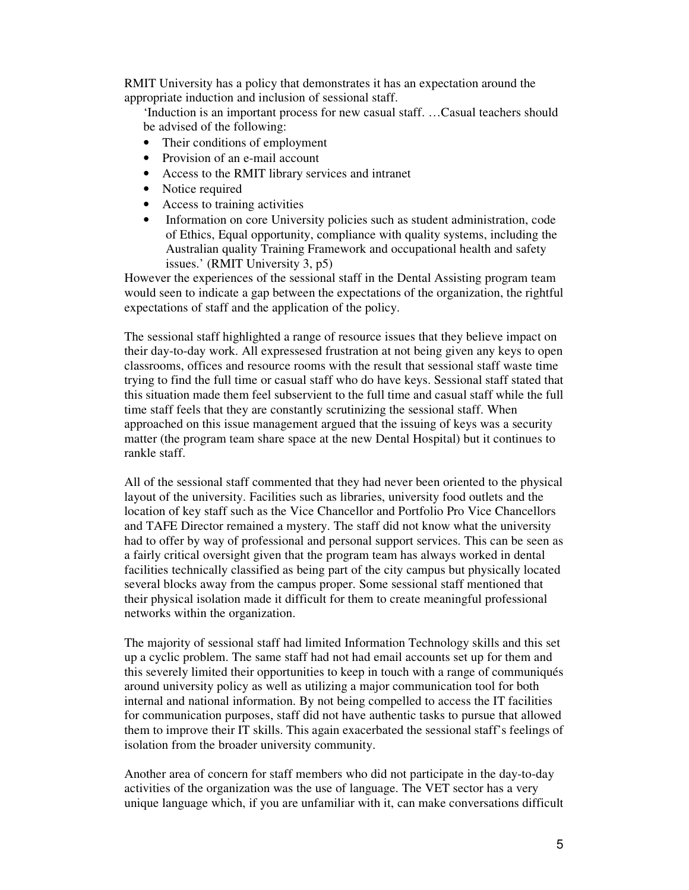RMIT University has a policy that demonstrates it has an expectation around the appropriate induction and inclusion of sessional staff.

'Induction is an important process for new casual staff. …Casual teachers should be advised of the following:

- Their conditions of employment
- Provision of an e-mail account
- Access to the RMIT library services and intranet
- Notice required
- Access to training activities
- Information on core University policies such as student administration, code of Ethics, Equal opportunity, compliance with quality systems, including the Australian quality Training Framework and occupational health and safety issues.' (RMIT University 3, p5)

However the experiences of the sessional staff in the Dental Assisting program team would seen to indicate a gap between the expectations of the organization, the rightful expectations of staff and the application of the policy.

The sessional staff highlighted a range of resource issues that they believe impact on their day-to-day work. All expressesed frustration at not being given any keys to open classrooms, offices and resource rooms with the result that sessional staff waste time trying to find the full time or casual staff who do have keys. Sessional staff stated that this situation made them feel subservient to the full time and casual staff while the full time staff feels that they are constantly scrutinizing the sessional staff. When approached on this issue management argued that the issuing of keys was a security matter (the program team share space at the new Dental Hospital) but it continues to rankle staff.

All of the sessional staff commented that they had never been oriented to the physical layout of the university. Facilities such as libraries, university food outlets and the location of key staff such as the Vice Chancellor and Portfolio Pro Vice Chancellors and TAFE Director remained a mystery. The staff did not know what the university had to offer by way of professional and personal support services. This can be seen as a fairly critical oversight given that the program team has always worked in dental facilities technically classified as being part of the city campus but physically located several blocks away from the campus proper. Some sessional staff mentioned that their physical isolation made it difficult for them to create meaningful professional networks within the organization.

The majority of sessional staff had limited Information Technology skills and this set up a cyclic problem. The same staff had not had email accounts set up for them and this severely limited their opportunities to keep in touch with a range of communiqués around university policy as well as utilizing a major communication tool for both internal and national information. By not being compelled to access the IT facilities for communication purposes, staff did not have authentic tasks to pursue that allowed them to improve their IT skills. This again exacerbated the sessional staff's feelings of isolation from the broader university community.

Another area of concern for staff members who did not participate in the day-to-day activities of the organization was the use of language. The VET sector has a very unique language which, if you are unfamiliar with it, can make conversations difficult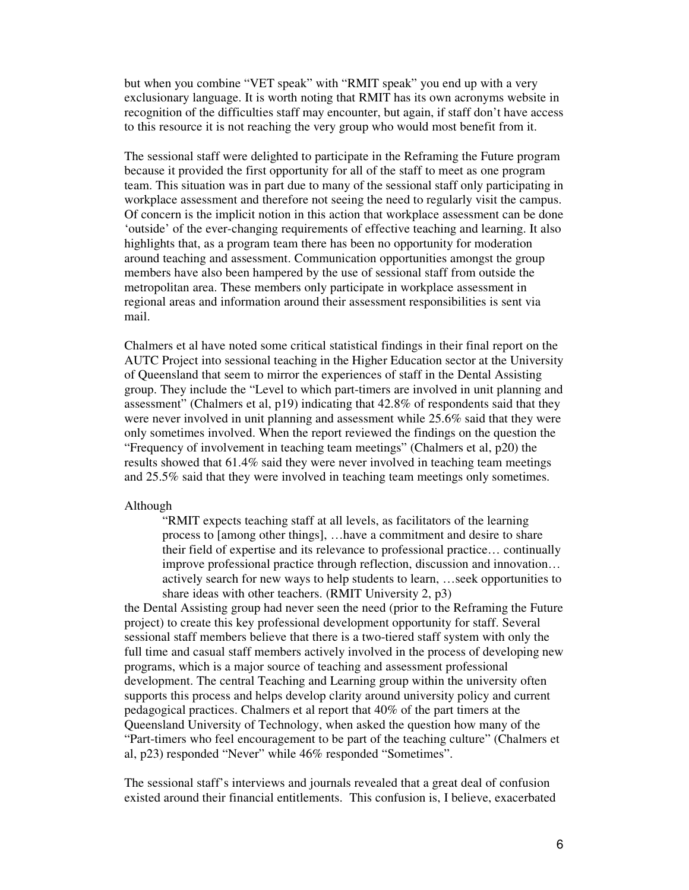but when you combine "VET speak" with "RMIT speak" you end up with a very exclusionary language. It is worth noting that RMIT has its own acronyms website in recognition of the difficulties staff may encounter, but again, if staff don't have access to this resource it is not reaching the very group who would most benefit from it.

The sessional staff were delighted to participate in the Reframing the Future program because it provided the first opportunity for all of the staff to meet as one program team. This situation was in part due to many of the sessional staff only participating in workplace assessment and therefore not seeing the need to regularly visit the campus. Of concern is the implicit notion in this action that workplace assessment can be done 'outside' of the ever-changing requirements of effective teaching and learning. It also highlights that, as a program team there has been no opportunity for moderation around teaching and assessment. Communication opportunities amongst the group members have also been hampered by the use of sessional staff from outside the metropolitan area. These members only participate in workplace assessment in regional areas and information around their assessment responsibilities is sent via mail.

Chalmers et al have noted some critical statistical findings in their final report on the AUTC Project into sessional teaching in the Higher Education sector at the University of Queensland that seem to mirror the experiences of staff in the Dental Assisting group. They include the "Level to which part-timers are involved in unit planning and assessment" (Chalmers et al, p19) indicating that 42.8% of respondents said that they were never involved in unit planning and assessment while 25.6% said that they were only sometimes involved. When the report reviewed the findings on the question the "Frequency of involvement in teaching team meetings" (Chalmers et al, p20) the results showed that 61.4% said they were never involved in teaching team meetings and 25.5% said that they were involved in teaching team meetings only sometimes.

#### Although

"RMIT expects teaching staff at all levels, as facilitators of the learning process to [among other things], …have a commitment and desire to share their field of expertise and its relevance to professional practice… continually improve professional practice through reflection, discussion and innovation… actively search for new ways to help students to learn, …seek opportunities to share ideas with other teachers. (RMIT University 2, p3)

the Dental Assisting group had never seen the need (prior to the Reframing the Future project) to create this key professional development opportunity for staff. Several sessional staff members believe that there is a two-tiered staff system with only the full time and casual staff members actively involved in the process of developing new programs, which is a major source of teaching and assessment professional development. The central Teaching and Learning group within the university often supports this process and helps develop clarity around university policy and current pedagogical practices. Chalmers et al report that 40% of the part timers at the Queensland University of Technology, when asked the question how many of the "Part-timers who feel encouragement to be part of the teaching culture" (Chalmers et al, p23) responded "Never" while 46% responded "Sometimes".

The sessional staff's interviews and journals revealed that a great deal of confusion existed around their financial entitlements. This confusion is, I believe, exacerbated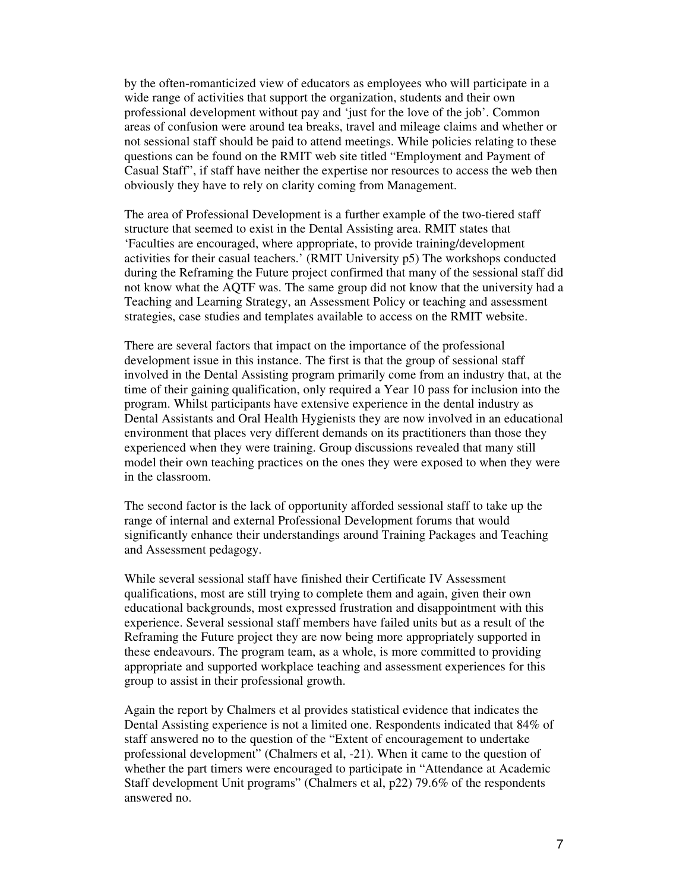by the often-romanticized view of educators as employees who will participate in a wide range of activities that support the organization, students and their own professional development without pay and 'just for the love of the job'. Common areas of confusion were around tea breaks, travel and mileage claims and whether or not sessional staff should be paid to attend meetings. While policies relating to these questions can be found on the RMIT web site titled "Employment and Payment of Casual Staff", if staff have neither the expertise nor resources to access the web then obviously they have to rely on clarity coming from Management.

The area of Professional Development is a further example of the two-tiered staff structure that seemed to exist in the Dental Assisting area. RMIT states that 'Faculties are encouraged, where appropriate, to provide training/development activities for their casual teachers.' (RMIT University p5) The workshops conducted during the Reframing the Future project confirmed that many of the sessional staff did not know what the AQTF was. The same group did not know that the university had a Teaching and Learning Strategy, an Assessment Policy or teaching and assessment strategies, case studies and templates available to access on the RMIT website.

There are several factors that impact on the importance of the professional development issue in this instance. The first is that the group of sessional staff involved in the Dental Assisting program primarily come from an industry that, at the time of their gaining qualification, only required a Year 10 pass for inclusion into the program. Whilst participants have extensive experience in the dental industry as Dental Assistants and Oral Health Hygienists they are now involved in an educational environment that places very different demands on its practitioners than those they experienced when they were training. Group discussions revealed that many still model their own teaching practices on the ones they were exposed to when they were in the classroom.

The second factor is the lack of opportunity afforded sessional staff to take up the range of internal and external Professional Development forums that would significantly enhance their understandings around Training Packages and Teaching and Assessment pedagogy.

While several sessional staff have finished their Certificate IV Assessment qualifications, most are still trying to complete them and again, given their own educational backgrounds, most expressed frustration and disappointment with this experience. Several sessional staff members have failed units but as a result of the Reframing the Future project they are now being more appropriately supported in these endeavours. The program team, as a whole, is more committed to providing appropriate and supported workplace teaching and assessment experiences for this group to assist in their professional growth.

Again the report by Chalmers et al provides statistical evidence that indicates the Dental Assisting experience is not a limited one. Respondents indicated that 84% of staff answered no to the question of the "Extent of encouragement to undertake professional development" (Chalmers et al, -21). When it came to the question of whether the part timers were encouraged to participate in "Attendance at Academic Staff development Unit programs" (Chalmers et al, p22) 79.6% of the respondents answered no.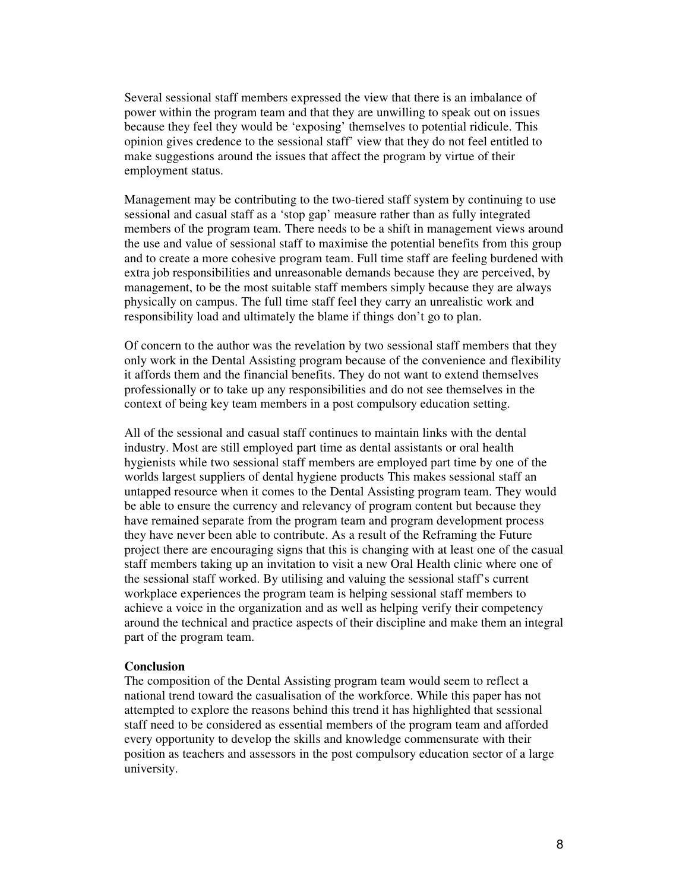Several sessional staff members expressed the view that there is an imbalance of power within the program team and that they are unwilling to speak out on issues because they feel they would be 'exposing' themselves to potential ridicule. This opinion gives credence to the sessional staff' view that they do not feel entitled to make suggestions around the issues that affect the program by virtue of their employment status.

Management may be contributing to the two-tiered staff system by continuing to use sessional and casual staff as a 'stop gap' measure rather than as fully integrated members of the program team. There needs to be a shift in management views around the use and value of sessional staff to maximise the potential benefits from this group and to create a more cohesive program team. Full time staff are feeling burdened with extra job responsibilities and unreasonable demands because they are perceived, by management, to be the most suitable staff members simply because they are always physically on campus. The full time staff feel they carry an unrealistic work and responsibility load and ultimately the blame if things don't go to plan.

Of concern to the author was the revelation by two sessional staff members that they only work in the Dental Assisting program because of the convenience and flexibility it affords them and the financial benefits. They do not want to extend themselves professionally or to take up any responsibilities and do not see themselves in the context of being key team members in a post compulsory education setting.

All of the sessional and casual staff continues to maintain links with the dental industry. Most are still employed part time as dental assistants or oral health hygienists while two sessional staff members are employed part time by one of the worlds largest suppliers of dental hygiene products This makes sessional staff an untapped resource when it comes to the Dental Assisting program team. They would be able to ensure the currency and relevancy of program content but because they have remained separate from the program team and program development process they have never been able to contribute. As a result of the Reframing the Future project there are encouraging signs that this is changing with at least one of the casual staff members taking up an invitation to visit a new Oral Health clinic where one of the sessional staff worked. By utilising and valuing the sessional staff's current workplace experiences the program team is helping sessional staff members to achieve a voice in the organization and as well as helping verify their competency around the technical and practice aspects of their discipline and make them an integral part of the program team.

## **Conclusion**

The composition of the Dental Assisting program team would seem to reflect a national trend toward the casualisation of the workforce. While this paper has not attempted to explore the reasons behind this trend it has highlighted that sessional staff need to be considered as essential members of the program team and afforded every opportunity to develop the skills and knowledge commensurate with their position as teachers and assessors in the post compulsory education sector of a large university.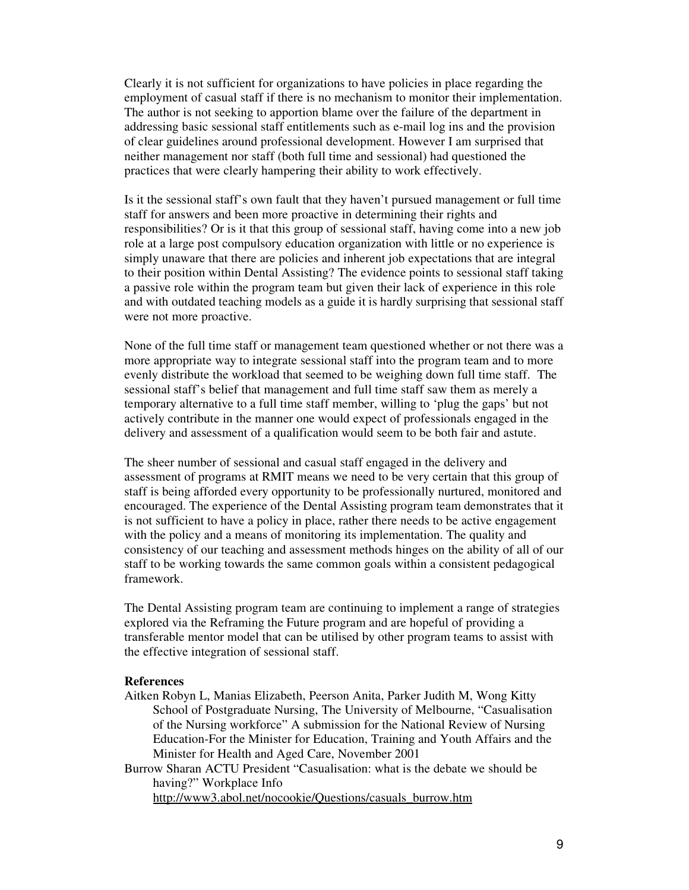Clearly it is not sufficient for organizations to have policies in place regarding the employment of casual staff if there is no mechanism to monitor their implementation. The author is not seeking to apportion blame over the failure of the department in addressing basic sessional staff entitlements such as e-mail log ins and the provision of clear guidelines around professional development. However I am surprised that neither management nor staff (both full time and sessional) had questioned the practices that were clearly hampering their ability to work effectively.

Is it the sessional staff's own fault that they haven't pursued management or full time staff for answers and been more proactive in determining their rights and responsibilities? Or is it that this group of sessional staff, having come into a new job role at a large post compulsory education organization with little or no experience is simply unaware that there are policies and inherent job expectations that are integral to their position within Dental Assisting? The evidence points to sessional staff taking a passive role within the program team but given their lack of experience in this role and with outdated teaching models as a guide it is hardly surprising that sessional staff were not more proactive.

None of the full time staff or management team questioned whether or not there was a more appropriate way to integrate sessional staff into the program team and to more evenly distribute the workload that seemed to be weighing down full time staff. The sessional staff's belief that management and full time staff saw them as merely a temporary alternative to a full time staff member, willing to 'plug the gaps' but not actively contribute in the manner one would expect of professionals engaged in the delivery and assessment of a qualification would seem to be both fair and astute.

The sheer number of sessional and casual staff engaged in the delivery and assessment of programs at RMIT means we need to be very certain that this group of staff is being afforded every opportunity to be professionally nurtured, monitored and encouraged. The experience of the Dental Assisting program team demonstrates that it is not sufficient to have a policy in place, rather there needs to be active engagement with the policy and a means of monitoring its implementation. The quality and consistency of our teaching and assessment methods hinges on the ability of all of our staff to be working towards the same common goals within a consistent pedagogical framework.

The Dental Assisting program team are continuing to implement a range of strategies explored via the Reframing the Future program and are hopeful of providing a transferable mentor model that can be utilised by other program teams to assist with the effective integration of sessional staff.

### **References**

Aitken Robyn L, Manias Elizabeth, Peerson Anita, Parker Judith M, Wong Kitty School of Postgraduate Nursing, The University of Melbourne, "Casualisation of the Nursing workforce" A submission for the National Review of Nursing Education-For the Minister for Education, Training and Youth Affairs and the Minister for Health and Aged Care, November 2001

Burrow Sharan ACTU President "Casualisation: what is the debate we should be having?" Workplace Info http://www3.abol.net/nocookie/Questions/casuals\_burrow.htm